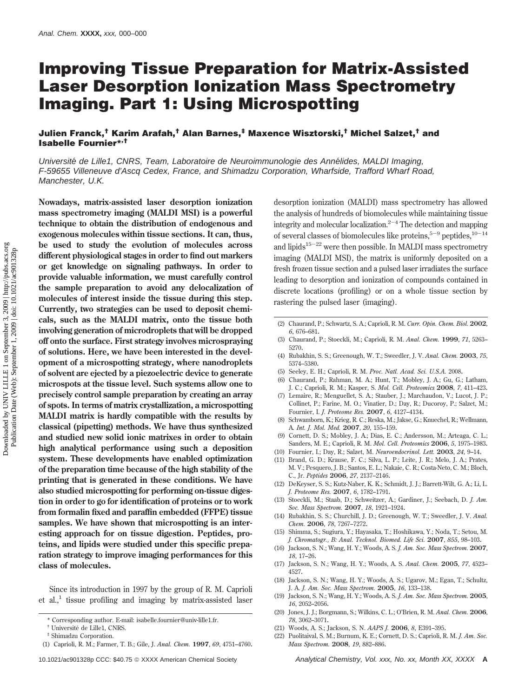# **Improving Tissue Preparation for Matrix-Assisted Laser Desorption Ionization Mass Spectrometry Imaging. Part 1: Using Microspotting**

**Julien Franck,† Karim Arafah,† Alan Barnes,‡ Maxence Wisztorski,† Michel Salzet,† and Isabelle Fournier\*,†**

*Université de Lille1, CNRS, Team, Laboratoire de Neuroimmunologie des Annélides, MALDI Imaging, F-59655 Villeneuve d'Ascq Cedex, France, and Shimadzu Corporation, Wharfside, Trafford Wharf Road, Manchester, U.K.*

**Nowadays, matrix-assisted laser desorption ionization mass spectrometry imaging (MALDI MSI) is a powerful technique to obtain the distribution of endogenous and exogenous molecules within tissue sections. It can, thus, be used to study the evolution of molecules across different physiological stages in order to find out markers or get knowledge on signaling pathways. In order to provide valuable information, we must carefully control the sample preparation to avoid any delocalization of molecules of interest inside the tissue during this step. Currently, two strategies can be used to deposit chemicals, such as the MALDI matrix, onto the tissue both involving generation of microdroplets that will be dropped off onto the surface. First strategy involves microspraying of solutions. Here, we have been interested in the development of a microspotting strategy, where nanodroplets of solvent are ejected by a piezoelectric device to generate microspots at the tissue level. Such systems allow one to precisely control sample preparation by creating an array of spots. In terms of matrix crystallization, a microspotting MALDI matrix is hardly compatible with the results by classical (pipetting) methods. We have thus synthesized and studied new solid ionic matrixes in order to obtain high analytical performance using such a deposition system. These developments have enabled optimization of the preparation time because of the high stability of the printing that is generated in these conditions. We have also studied microspotting for performing on-tissue digestion in order to go for identification of proteins or to work from formalin fixed and paraffin embedded (FFPE) tissue samples. We have shown that microspotting is an interesting approach for on tissue digestion. Peptides, proteins, and lipids were studied under this specific preparation strategy to improve imaging performances for this class of molecules.**

Since its introduction in 1997 by the group of R. M. Caprioli et al., $\frac{1}{1}$  tissue profiling and imaging by matrix-assisted laser

desorption ionization (MALDI) mass spectrometry has allowed the analysis of hundreds of biomolecules while maintaining tissue integrity and molecular localization. $2-4$  The detection and mapping of several classes of biomolecules like proteins,  $5-9$  peptides,  $10-14$ and lipids $15-22$  were then possible. In MALDI mass spectrometry imaging (MALDI MSI), the matrix is uniformly deposited on a fresh frozen tissue section and a pulsed laser irradiates the surface leading to desorption and ionization of compounds contained in discrete locations (profiling) or on a whole tissue section by rastering the pulsed laser (imaging).

- (2) Chaurand, P.; Schwartz, S. A.; Caprioli, R. M. *Curr. Opin. Chem. Biol.* **2002**, *6*, 676–681.
- (3) Chaurand, P.; Stoeckli, M.; Caprioli, R. M. *Anal. Chem.* **1999**, *71*, 5263– 5270.
- (4) Rubakhin, S. S.; Greenough, W. T.; Sweedler, J. V. *Anal. Chem.* **2003**, *75*, 5374–5380.
- (5) Seeley, E. H.; Caprioli, R. M. *Proc. Natl. Acad. Sci. U.S.A.* 2008.
- (6) Chaurand, P.; Rahman, M. A.; Hunt, T.; Mobley, J. A.; Gu, G.; Latham, J. C.; Caprioli, R. M.; Kasper, S. *Mol. Cell. Proteomics* **2008**, *7*, 411–423.
- (7) Lemaire, R.; Menguellet, S. A.; Stauber, J.; Marchaudon, V.; Lucot, J. P.; Collinet, P.; Farine, M. O.; Vinatier, D.; Day, R.; Ducoroy, P.; Salzet, M.; Fournier, I. *J. Proteome Res.* **2007**, *6*, 4127–4134.
- (8) Schwamborn, K.; Krieg, R. C.; Reska, M.; Jakse, G.; Knuechel, R.; Wellmann, A. *Int. J. Mol. Med.* **2007**, *20*, 155–159.
- (9) Cornett, D. S.; Mobley, J. A.; Dias, E. C.; Andersson, M.; Arteaga, C. L.; Sanders, M. E.; Caprioli, R. M. *Mol. Cell. Proteomics* **2006**, *5*, 1975–1983.
- (10) Fournier, I.; Day, R.; Salzet, M. *Neuroendocrinol. Lett.* **2003**, *24*, 9–14.
- (11) Brand, G. D.; Krause, F. C.; Silva, L. P.; Leite, J. R.; Melo, J. A.; Prates, M. V.; Pesquero, J. B.; Santos, E. L.; Nakaie, C. R.; Costa-Neto, C. M.; Bloch, C., Jr. *Peptides* **2006**, *27*, 2137–2146.
- (12) DeKeyser, S. S.; Kutz-Naber, K. K.; Schmidt, J. J.; Barrett-Wilt, G. A.; Li, L. *J. Proteome Res.* **2007**, *6*, 1782–1791.
- (13) Stoeckli, M.; Staab, D.; Schweitzer, A.; Gardiner, J.; Seebach, D. *J. Am. Soc. Mass Spectrom.* **2007**, *18*, 1921–1924.
- (14) Rubakhin, S. S.; Churchill, J. D.; Greenough, W. T.; Sweedler, J. V. *Anal. Chem.* **2006**, *78*, 7267–7272.
- (15) Shimma, S.; Sugiura, Y.; Hayasaka, T.; Hoshikawa, Y.; Noda, T.; Setou, M. *J. Chromatogr., B: Anal. Technol. Biomed. Life Sci.* **2007**, *855*, 98–103.
- (16) Jackson, S. N.; Wang, H. Y.; Woods, A. S. *J. Am. Soc. Mass Spectrom.* **2007**, *18*, 17–26.
- (17) Jackson, S. N.; Wang, H. Y.; Woods, A. S. *Anal. Chem.* **2005**, *77*, 4523– 4527.
- (18) Jackson, S. N.; Wang, H. Y.; Woods, A. S.; Ugarov, M.; Egan, T.; Schultz, J. A. *J. Am. Soc. Mass Spectrom.* **2005**, *16*, 133–138.
- (19) Jackson, S. N.; Wang, H. Y.; Woods, A. S. *J. Am. Soc. Mass Spectrom.* **2005**, *16*, 2052–2056.
- (20) Jones, J. J.; Borgmann, S.; Wilkins, C. L.; O'Brien, R. M. *Anal. Chem.* **2006**, *78*, 3062–3071.
- (21) Woods, A. S.; Jackson, S. N. *AAPS J.* **2006**, *8*, E391–395.
- (22) Puolitaival, S. M.; Burnum, K. E.; Cornett, D. S.; Caprioli, R. M. *J. Am. Soc. Mass Spectrom.* **2008**, *19*, 882–886.

<sup>\*</sup> Corresponding author. E-mail: isabelle.fournier@univ-lille1.fr.

<sup>†</sup> Universite´ de Lille1, CNRS.

Shimadzu Corporation.

<sup>(1)</sup> Caprioli, R. M.; Farmer, T. B.; Gile, J. *Anal. Chem.* **1997**, *69*, 4751–4760.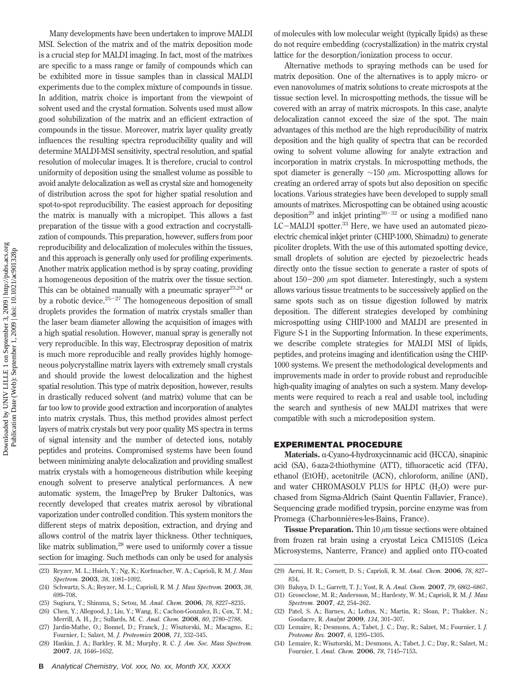Many developments have been undertaken to improve MALDI MSI. Selection of the matrix and of the matrix deposition mode is a crucial step for MALDI imaging. In fact, most of the matrixes are specific to a mass range or family of compounds which can be exhibited more in tissue samples than in classical MALDI experiments due to the complex mixture of compounds in tissue. In addition, matrix choice is important from the viewpoint of solvent used and the crystal formation. Solvents used must allow good solubilization of the matrix and an efficient extraction of compounds in the tissue. Moreover, matrix layer quality greatly influences the resulting spectra reproducibility quality and will determine MALDI-MSI sensitivity, spectral resolution, and spatial resolution of molecular images. It is therefore, crucial to control uniformity of deposition using the smallest volume as possible to avoid analyte delocalization as well as crystal size and homogeneity of distribution across the spot for higher spatial resolution and spot-to-spot reproducibility. The easiest approach for depositing the matrix is manually with a micropipet. This allows a fast preparation of the tissue with a good extraction and cocrystallization of compounds. This preparation, however, suffers from poor reproducibility and delocalization of molecules within the tissues, and this approach is generally only used for profiling experiments. Another matrix application method is by spray coating, providing a homogeneous deposition of the matrix over the tissue section. This can be obtained manually with a pneumatic sprayer $^{23,24}$  or by a robotic device. $25-27$  The homogeneous deposition of small droplets provides the formation of matrix crystals smaller than the laser beam diameter allowing the acquisition of images with a high spatial resolution. However, manual spray is generally not very reproducible. In this way, Electrospray deposition of matrix is much more reproducible and really provides highly homogeneous polycrystalline matrix layers with extremely small crystals and should provide the lowest delocalization and the highest spatial resolution. This type of matrix deposition, however, results in drastically reduced solvent (and matrix) volume that can be far too low to provide good extraction and incorporation of analytes into matrix crystals. Thus, this method provides almost perfect layers of matrix crystals but very poor quality MS spectra in terms of signal intensity and the number of detected ions, notably peptides and proteins. Compromised systems have been found between minimizing analyte delocalization and providing smallest matrix crystals with a homogeneous distribution while keeping enough solvent to preserve analytical performances. A new automatic system, the ImagePrep by Bruker Daltonics, was recently developed that creates matrix aerosol by vibrational vaporization under controlled condition. This system monitors the different steps of matrix deposition, extraction, and drying and allows control of the matrix layer thickness. Other techniques, like matrix sublimation,<sup>28</sup> were used to uniformly cover a tissue section for imaging. Such methods can only be used for analysis

- (23) Reyzer, M. L.; Hsieh, Y.; Ng, K.; Korfmacher, W. A.; Caprioli, R. M. *J. Mass Spectrom.* **2003**, *38*, 1081–1092.
- (24) Schwartz, S. A.; Reyzer, M. L.; Caprioli, R. M. *J. Mass Spectrom.* **2003**, *38*, 699–708.
- (25) Sugiura, Y.; Shimma, S.; Setou, M. *Anal. Chem.* **2006**, *78*, 8227–8235.
- (26) Chen, Y.; Allegood, J.; Liu, Y.; Wang, E.; Cachon-Gonzalez, B.; Cox, T. M.; Merrill, A. H., Jr.; Sullards, M. C. *Anal. Chem.* **2008**, *80*, 2780–2788.
- (27) Jardin-Mathe, O.; Bonnel, D.; Franck, J.; Wisztorski, M.; Macagno, E.; Fournier, I.; Salzet, M. *J. Proteomics* **2008**, *71*, 332–345.
- (28) Hankin, J. A.; Barkley, R. M.; Murphy, R. C. *J. Am. Soc. Mass Spectrom.* **2007**, *18*, 1646–1652.

of molecules with low molecular weight (typically lipids) as these do not require embedding (cocrystallization) in the matrix crystal lattice for the desorption/ionization process to occur.

Alternative methods to spraying methods can be used for matrix deposition. One of the alternatives is to apply micro- or even nanovolumes of matrix solutions to create microspots at the tissue section level. In microspotting methods, the tissue will be covered with an array of matrix microspots. In this case, analyte delocalization cannot exceed the size of the spot. The main advantages of this method are the high reproducibility of matrix deposition and the high quality of spectra that can be recorded owing to solvent volume allowing for analyte extraction and incorporation in matrix crystals. In microspotting methods, the spot diameter is generally ∼150 *µ*m. Microspotting allows for creating an ordered array of spots but also deposition on specific locations. Various strategies have been developed to supply small amounts of matrixes. Microspotting can be obtained using acoustic deposition<sup>29</sup> and inkjet printing<sup>30-32</sup> or using a modified nano LC-MALDI spotter.<sup>33</sup> Here, we have used an automated piezoelectric chemical inkjet printer (CHIP-1000, Shimadzu) to generate picoliter droplets. With the use of this automated spotting device, small droplets of solution are ejected by piezoelectric heads directly onto the tissue section to generate a raster of spots of about  $150-200 \mu m$  spot diameter. Interestingly, such a system allows various tissue treatments to be successively applied on the same spots such as on tissue digestion followed by matrix deposition. The different strategies developed by combining microspotting using CHIP-1000 and MALDI are presented in Figure S-1 in the Supporting Information. In these experiments, we describe complete strategies for MALDI MSI of lipids, peptides, and proteins imaging and identification using the CHIP-1000 systems. We present the methodological developments and improvements made in order to provide robust and reproducible high-quality imaging of analytes on such a system. Many developments were required to reach a real and usable tool, including the search and synthesis of new MALDI matrixes that were compatible with such a microdeposition system.

#### **EXPERIMENTAL PROCEDURE**

Materials. α-Cyano-4-hydroxycinnamic acid (HCCA), sinapinic acid (SA), 6-aza-2-thiothymine (ATT), tifluoracetic acid (TFA), ethanol (EtOH), acetonitrile (ACN), chloroform, aniline (ANI), and water CHROMASOLV PLUS for HPLC  $(H<sub>2</sub>O)$  were purchased from Sigma-Aldrich (Saint Quentin Fallavier, France). Sequencing grade modified trypsin, porcine enzyme was from Promega (Charbonnières-les-Bains, France).

**Tissue Preparation.** Thin 10  $\mu$ m tissue sections were obtained from frozen rat brain using a cryostat Leica CM1510S (Leica Microsystems, Nanterre, France) and applied onto ITO-coated

- (29) Aerni, H. R.; Cornett, D. S.; Caprioli, R. M. *Anal. Chem.* **2006**, *78*, 827– 834.
- (30) Baluya, D. L.; Garrett, T. J.; Yost, R. A. *Anal. Chem.* **2007**, *79*, 6862–6867.
- (31) Groseclose, M. R.; Andersson, M.; Hardesty, W. M.; Caprioli, R. M. *J. Mass Spectrom.* **2007**, *42*, 254–262.
- (32) Patel, S. A.; Barnes, A.; Loftus, N.; Martin, R.; Sloan, P.; Thakker, N.; Goodacre, R. *Analyst* **2009**, *134*, 301–307.
- (33) Lemaire, R.; Desmons, A.; Tabet, J. C.; Day, R.; Salzet, M.; Fournier, I. *J. Proteome Res.* **2007**, *6*, 1295–1305.
- (34) Lemaire, R.; Wisztorski, M.; Desmons, A.; Tabet, J. C.; Day, R.; Salzet, M.; Fournier, I. *Anal. Chem.* **2006**, *78*, 7145–7153.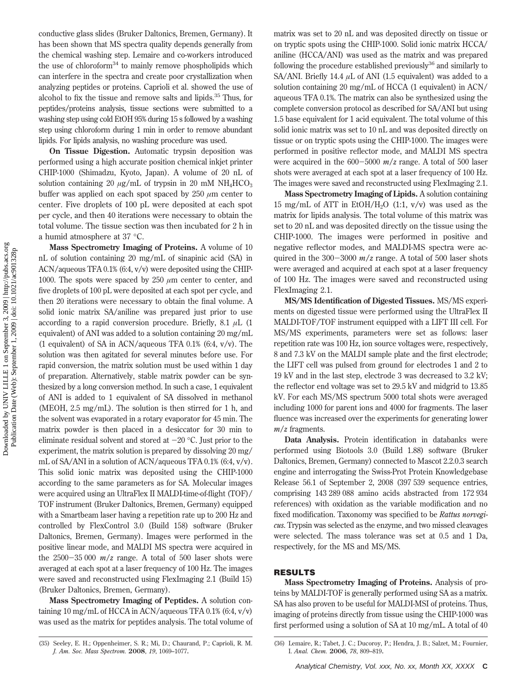conductive glass slides (Bruker Daltonics, Bremen, Germany). It has been shown that MS spectra quality depends generally from the chemical washing step. Lemaire and co-workers introduced the use of chloroform $34$  to mainly remove phospholipids which can interfere in the spectra and create poor crystallization when analyzing peptides or proteins. Caprioli et al. showed the use of alcohol to fix the tissue and remove salts and lipids.35 Thus, for peptides/proteins analysis, tissue sections were submitted to a washing step using cold EtOH 95% during 15 s followed by a washing step using chloroform during 1 min in order to remove abundant lipids. For lipids analysis, no washing procedure was used.

**On Tissue Digestion.** Automatic trypsin deposition was performed using a high accurate position chemical inkjet printer CHIP-1000 (Shimadzu, Kyoto, Japan). A volume of 20 nL of solution containing 20  $\mu$ g/mL of trypsin in 20 mM NH<sub>4</sub>HCO<sub>3</sub> buffer was applied on each spot spaced by 250  $\mu$ m center to center. Five droplets of 100 pL were deposited at each spot per cycle, and then 40 iterations were necessary to obtain the total volume. The tissue section was then incubated for 2 h in a humid atmosphere at 37 °C.

**Mass Spectrometry Imaging of Proteins.** A volume of 10 nL of solution containing 20 mg/mL of sinapinic acid (SA) in ACN/aqueous TFA 0.1% (6:4, v/v) were deposited using the CHIP-1000. The spots were spaced by 250 *µ*m center to center, and five droplets of 100 pL were deposited at each spot per cycle, and then 20 iterations were necessary to obtain the final volume. A solid ionic matrix SA/aniline was prepared just prior to use according to a rapid conversion procedure. Briefly, 8.1 *µ*L (1 equivalent) of ANI was added to a solution containing 20 mg/mL (1 equivalent) of SA in ACN/aqueous TFA 0.1% (6:4, v/v). The solution was then agitated for several minutes before use. For rapid conversion, the matrix solution must be used within 1 day of preparation. Alternatively, stable matrix powder can be synthesized by a long conversion method. In such a case, 1 equivalent of ANI is added to 1 equivalent of SA dissolved in methanol (MEOH, 2.5 mg/mL). The solution is then stirred for 1 h, and the solvent was evaporated in a rotary evaporator for 45 min. The matrix powder is then placed in a desiccator for 30 min to eliminate residual solvent and stored at  $-20$  °C. Just prior to the experiment, the matrix solution is prepared by dissolving 20 mg/ mL of SA/ANI in a solution of ACN/aqueous TFA 0.1% (6:4, v/v). This solid ionic matrix was deposited using the CHIP-1000 according to the same parameters as for SA. Molecular images were acquired using an UltraFlex II MALDI-time-of-flight (TOF)/ TOF instrument (Bruker Daltonics, Bremen, Germany) equipped with a Smartbeam laser having a repetition rate up to 200 Hz and controlled by FlexControl 3.0 (Build 158) software (Bruker Daltonics, Bremen, Germany). Images were performed in the positive linear mode, and MALDI MS spectra were acquired in the  $2500-35000$   $m/z$  range. A total of 500 laser shots were averaged at each spot at a laser frequency of 100 Hz. The images were saved and reconstructed using FlexImaging 2.1 (Build 15) (Bruker Daltonics, Bremen, Germany).

**Mass Spectrometry Imaging of Peptides.** A solution containing 10 mg/mL of HCCA in ACN/aqueous TFA 0.1% (6:4, v/v) was used as the matrix for peptides analysis. The total volume of matrix was set to 20 nL and was deposited directly on tissue or on tryptic spots using the CHIP-1000. Solid ionic matrix HCCA/ aniline (HCCA/ANI) was used as the matrix and was prepared following the procedure established previously $36$  and similarly to SA/ANI. Briefly 14.4 µL of ANI (1.5 equivalent) was added to a solution containing 20 mg/mL of HCCA (1 equivalent) in ACN/ aqueous TFA 0.1%. The matrix can also be synthesized using the complete conversion protocol as described for SA/ANI but using 1.5 base equivalent for 1 acid equivalent. The total volume of this solid ionic matrix was set to 10 nL and was deposited directly on tissue or on tryptic spots using the CHIP-1000. The images were performed in positive reflector mode, and MALDI MS spectra were acquired in the 600-<sup>5000</sup> *<sup>m</sup>*/*<sup>z</sup>* range. A total of 500 laser shots were averaged at each spot at a laser frequency of 100 Hz. The images were saved and reconstructed using FlexImaging 2.1.

**Mass Spectrometry Imaging of Lipids.** A solution containing 15 mg/mL of ATT in EtOH/H<sub>2</sub>O (1:1,  $v/v$ ) was used as the matrix for lipids analysis. The total volume of this matrix was set to 20 nL and was deposited directly on the tissue using the CHIP-1000. The images were performed in positive and negative reflector modes, and MALDI-MS spectra were acquired in the 300-<sup>3000</sup> *<sup>m</sup>*/*<sup>z</sup>* range. A total of 500 laser shots were averaged and acquired at each spot at a laser frequency of 100 Hz. The images were saved and reconstructed using FlexImaging 2.1.

**MS/MS Identification of Digested Tissues.** MS/MS experiments on digested tissue were performed using the UltraFlex II MALDI-TOF/TOF instrument equipped with a LIFT III cell. For MS/MS experiments, parameters were set as follows: laser repetition rate was 100 Hz, ion source voltages were, respectively, 8 and 7.3 kV on the MALDI sample plate and the first electrode; the LIFT cell was pulsed from ground for electrodes 1 and 2 to 19 kV and in the last step, electrode 3 was decreased to 3.2 kV; the reflector end voltage was set to 29.5 kV and midgrid to 13.85 kV. For each MS/MS spectrum 5000 total shots were averaged including 1000 for parent ions and 4000 for fragments. The laser fluence was increased over the experiments for generating lower *m*/*z* fragments.

**Data Analysis.** Protein identification in databanks were performed using Biotools 3.0 (Build 1.88) software (Bruker Daltonics, Bremen, Germany) connected to Mascot 2.2.0.3 search engine and interrogating the Swiss-Prot Protein Knowledgebase Release 56.1 of September 2, 2008 (397 539 sequence entries, comprising 143 289 088 amino acids abstracted from 172 934 references) with oxidation as the variable modification and no fixed modification. Taxonomy was specified to be *Rattus norvegicus*. Trypsin was selected as the enzyme, and two missed cleavages were selected. The mass tolerance was set at 0.5 and 1 Da, respectively, for the MS and MS/MS.

## **RESULTS**

**Mass Spectrometry Imaging of Proteins.** Analysis of proteins by MALDI-TOF is generally performed using SA as a matrix. SA has also proven to be useful for MALDI-MSI of proteins. Thus, imaging of proteins directly from tissue using the CHIP-1000 was first performed using a solution of SA at 10 mg/mL. A total of 40

<sup>(35)</sup> Seeley, E. H.; Oppenheimer, S. R.; Mi, D.; Chaurand, P.; Caprioli, R. M. *J. Am. Soc. Mass Spectrom.* **2008**, *19*, 1069–1077.

<sup>(36)</sup> Lemaire, R.; Tabet, J. C.; Ducoroy, P.; Hendra, J. B.; Salzet, M.; Fournier, I. *Anal. Chem.* **2006**, *78*, 809–819.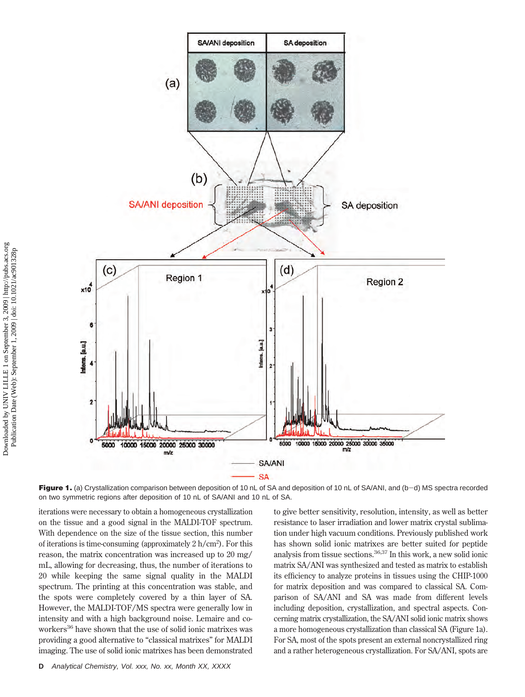

Figure 1. (a) Crystallization comparison between deposition of 10 nL of SA and deposition of 10 nL of SA/ANI, and (b-d) MS spectra recorded on two symmetric regions after deposition of 10 nL of SA/ANI and 10 nL of SA.

iterations were necessary to obtain a homogeneous crystallization on the tissue and a good signal in the MALDI-TOF spectrum. With dependence on the size of the tissue section, this number of iterations is time-consuming (approximately 2 h/cm2 ). For this reason, the matrix concentration was increased up to 20 mg/ mL, allowing for decreasing, thus, the number of iterations to 20 while keeping the same signal quality in the MALDI spectrum. The printing at this concentration was stable, and the spots were completely covered by a thin layer of SA. However, the MALDI-TOF/MS spectra were generally low in intensity and with a high background noise. Lemaire and coworkers<sup>36</sup> have shown that the use of solid ionic matrixes was providing a good alternative to "classical matrixes" for MALDI imaging. The use of solid ionic matrixes has been demonstrated to give better sensitivity, resolution, intensity, as well as better resistance to laser irradiation and lower matrix crystal sublimation under high vacuum conditions. Previously published work has shown solid ionic matrixes are better suited for peptide analysis from tissue sections.36,37 In this work, a new solid ionic matrix SA/ANI was synthesized and tested as matrix to establish its efficiency to analyze proteins in tissues using the CHIP-1000 for matrix deposition and was compared to classical SA. Comparison of SA/ANI and SA was made from different levels including deposition, crystallization, and spectral aspects. Concerning matrix crystallization, the SA/ANI solid ionic matrix shows a more homogeneous crystallization than classical SA (Figure 1a). For SA, most of the spots present an external noncrystallized ring and a rather heterogeneous crystallization. For SA/ANI, spots are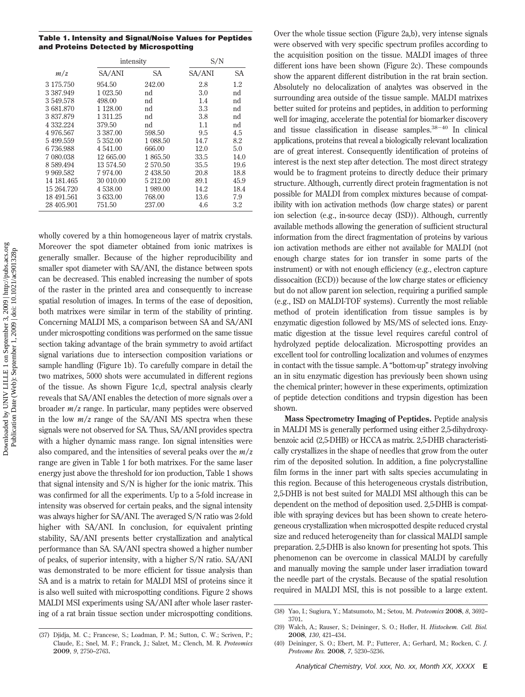|                                        |  |  |  |  | Table 1. Intensity and Signal/Noise Values for Peptides |  |
|----------------------------------------|--|--|--|--|---------------------------------------------------------|--|
| and Proteins Detected by Microspotting |  |  |  |  |                                                         |  |

|            | intensity |          | S/N           |      |  |
|------------|-----------|----------|---------------|------|--|
| m/z        | SA/ANI    | SА       | <b>SA/ANI</b> | SA   |  |
| 3 175,750  | 954.50    | 242.00   | 2.8           | 1.2  |  |
| 3 387,949  | 1 023.50  | nd       | 3.0           | nd   |  |
| 3 549.578  | 498.00    | nd       | 1.4           | nd   |  |
| 3681.870   | 1 128,00  | nd       | 3.3           | nd   |  |
| 3 837.879  | 1 311 25  | nd       | 3.8           | nd   |  |
| 4 332 224  | 379.50    | nd       | 1.1           | nd   |  |
| 4 976.567  | 3 387,00  | 598.50   | 9.5           | 4.5  |  |
| 5499559    | 5 352.00  | 1 088.50 | 14.7          | 8.2  |  |
| 6 736.988  | 4 541.00  | 666.00   | 12.0          | 5.0  |  |
| 7 080.038  | 12 665.00 | 1 865.50 | 33.5          | 14.0 |  |
| 8 589.494  | 13 574.50 | 2 570.50 | 35.5          | 19.6 |  |
| 9 969.582  | 7 974.00  | 2438.50  | 20.8          | 18.8 |  |
| 14 181.465 | 30 010.00 | 5 212.00 | 89.1          | 45.9 |  |
| 15 264 720 | 4 538,00  | 1 989.00 | 14.2          | 18.4 |  |
| 18 491.561 | 3633.00   | 768.00   | 13.6          | 7.9  |  |
| 28 405.901 | 751.50    | 237.00   | 4.6           | 3.2  |  |

wholly covered by a thin homogeneous layer of matrix crystals. Moreover the spot diameter obtained from ionic matrixes is generally smaller. Because of the higher reproducibility and smaller spot diameter with SA/ANI, the distance between spots can be decreased. This enabled increasing the number of spots of the raster in the printed area and consequently to increase spatial resolution of images. In terms of the ease of deposition, both matrixes were similar in term of the stability of printing. Concerning MALDI MS, a comparison between SA and SA/ANI under microspotting conditions was performed on the same tissue section taking advantage of the brain symmetry to avoid artifact signal variations due to intersection composition variations or sample handling (Figure 1b). To carefully compare in detail the two matrixes, 5000 shots were accumulated in different regions of the tissue. As shown Figure 1c,d, spectral analysis clearly reveals that SA/ANI enables the detection of more signals over a broader *m*/*z* range. In particular, many peptides were observed in the low *m*/*z* range of the SA/ANI MS spectra when these signals were not observed for SA. Thus, SA/ANI provides spectra with a higher dynamic mass range. Ion signal intensities were also compared, and the intensities of several peaks over the *m*/*z* range are given in Table 1 for both matrixes. For the same laser energy just above the threshold for ion production, Table 1 shows that signal intensity and S/N is higher for the ionic matrix. This was confirmed for all the experiments. Up to a 5-fold increase in intensity was observed for certain peaks, and the signal intensity was always higher for SA/ANI. The averaged S/N ratio was 2-fold higher with SA/ANI. In conclusion, for equivalent printing stability, SA/ANI presents better crystallization and analytical performance than SA. SA/ANI spectra showed a higher number of peaks, of superior intensity, with a higher S/N ratio. SA/ANI was demonstrated to be more efficient for tissue analysis than SA and is a matrix to retain for MALDI MSI of proteins since it is also well suited with microspotting conditions. Figure 2 shows MALDI MSI experiments using SA/ANI after whole laser rastering of a rat brain tissue section under microspotting conditions.

Over the whole tissue section (Figure 2a,b), very intense signals were observed with very specific spectrum profiles according to the acquisition position on the tissue. MALDI images of three different ions have been shown (Figure 2c). These compounds show the apparent different distribution in the rat brain section. Absolutely no delocalization of analytes was observed in the surrounding area outside of the tissue sample. MALDI matrixes better suited for proteins and peptides, in addition to performing well for imaging, accelerate the potential for biomarker discovery and tissue classification in disease samples. $38-40$  In clinical applications, proteins that reveal a biologically relevant localization are of great interest. Consequently identification of proteins of interest is the next step after detection. The most direct strategy would be to fragment proteins to directly deduce their primary structure. Although, currently direct protein fragmentation is not possible for MALDI from complex mixtures because of compatibility with ion activation methods (low charge states) or parent ion selection (e.g., in-source decay (ISD)). Although, currently available methods allowing the generation of sufficient structural information from the direct fragmentation of proteins by various ion activation methods are either not available for MALDI (not enough charge states for ion transfer in some parts of the instrument) or with not enough efficiency (e.g., electron capture dissocaition (ECD)) because of the low charge states or efficiency but do not allow parent ion selection, requiring a purified sample (e.g., ISD on MALDI-TOF systems). Currently the most reliable method of protein identification from tissue samples is by enzymatic digestion followed by MS/MS of selected ions. Enzymatic digestion at the tissue level requires careful control of hydrolyzed peptide delocalization. Microspotting provides an excellent tool for controlling localization and volumes of enzymes in contact with the tissue sample. A "bottom-up" strategy involving an in situ enzymatic digestion has previously been shown using the chemical printer; however in these experiments, optimization of peptide detection conditions and trypsin digestion has been shown.

**Mass Spectrometry Imaging of Peptides.** Peptide analysis in MALDI MS is generally performed using either 2,5-dihydroxybenzoic acid (2,5-DHB) or HCCA as matrix. 2,5-DHB characteristically crystallizes in the shape of needles that grow from the outer rim of the deposited solution. In addition, a fine polycrystalline film forms in the inner part with salts species accumulating in this region. Because of this heterogeneous crystals distribution, 2,5-DHB is not best suited for MALDI MSI although this can be dependent on the method of deposition used. 2,5-DHB is compatible with spraying devices but has been shown to create heterogeneous crystallization when microspotted despite reduced crystal size and reduced heterogeneity than for classical MALDI sample preparation. 2,5-DHB is also known for presenting hot spots. This phenomenon can be overcome in classical MALDI by carefully and manually moving the sample under laser irradiation toward the needle part of the crystals. Because of the spatial resolution required in MALDI MSI, this is not possible to a large extent.

<sup>(38)</sup> Yao, I.; Sugiura, Y.; Matsumoto, M.; Setou, M. *Proteomics* **2008**, *8*, 3692– 3701.

<sup>(39)</sup> Walch, A.; Rauser, S.; Deininger, S. O.; Hofler, H. *Histochem. Cell. Biol.* **2008**, *130*, 421–434.

<sup>(40)</sup> Deininger, S. O.; Ebert, M. P.; Futterer, A.; Gerhard, M.; Rocken, C. *J. Proteome Res.* **2008**, *7*, 5230–5236.

<sup>(37)</sup> Djidja, M. C.; Francese, S.; Loadman, P. M.; Sutton, C. W.; Scriven, P.; Claude, E.; Snel, M. F.; Franck, J.; Salzet, M.; Clench, M. R. *Proteomics* **2009**, *9*, 2750–2763.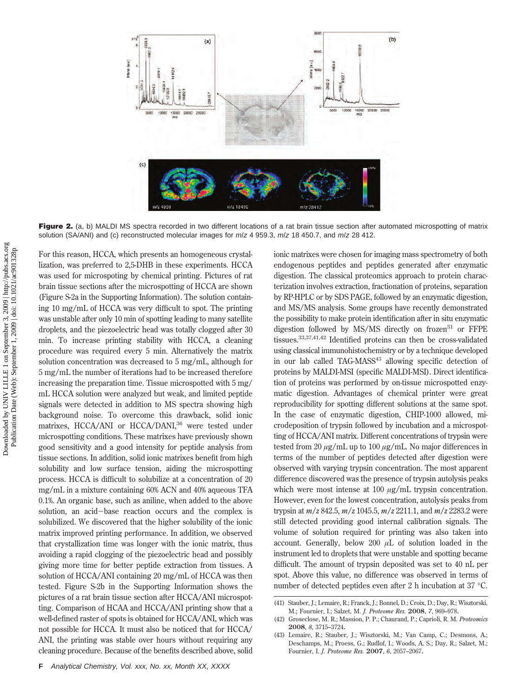

Figure 2. (a, b) MALDI MS spectra recorded in two different locations of a rat brain tissue section after automated microspotting of matrix solution (SA/ANI) and (c) reconstructed molecular images for *m*/*z* 4 959.3, *m*/*z* 18 450.7, and *m*/*z* 28 412.

For this reason, HCCA, which presents an homogeneous crystallization, was preferred to 2,5-DHB in these experiments. HCCA was used for microspoting by chemical printing. Pictures of rat brain tissue sections after the microspotting of HCCA are shown (Figure S-2a in the Supporting Information). The solution containing 10 mg/mL of HCCA was very difficult to spot. The printing was unstable after only 10 min of spotting leading to many satellite droplets, and the piezoelectric head was totally clogged after 30 min. To increase printing stability with HCCA, a cleaning procedure was required every 5 min. Alternatively the matrix solution concentration was decreased to 5 mg/mL, although for 5 mg/mL the number of iterations had to be increased therefore increasing the preparation time. Tissue microspotted with 5 mg/ mL HCCA solution were analyzed but weak, and limited peptide signals were detected in addition to MS spectra showing high background noise. To overcome this drawback, solid ionic matrixes, HCCA/ANI or HCCA/DANI,<sup>36</sup> were tested under microspotting conditions. These matrixes have previously shown good sensitivity and a good intensity for peptide analysis from tissue sections. In addition, solid ionic matrixes benefit from high solubility and low surface tension, aiding the microspotting process. HCCA is difficult to solubilize at a concentration of 20 mg/mL in a mixture containing 60% ACN and 40% aqueous TFA 0.1%. An organic base, such as aniline, when added to the above solution, an acid-base reaction occurs and the complex is solubilized. We discovered that the higher solubility of the ionic matrix improved printing performance. In addition, we observed that crystallization time was longer with the ionic matrix, thus avoiding a rapid clogging of the piezoelectric head and possibly giving more time for better peptide extraction from tissues. A solution of HCCA/ANI containing 20 mg/mL of HCCA was then tested. Figure S-2b in the Supporting Information shows the pictures of a rat brain tissue section after HCCA/ANI microspotting. Comparison of HCAA and HCCA/ANI printing show that a well-defined raster of spots is obtained for HCCA/ANI, which was not possible for HCCA. It must also be noticed that for HCCA/ ANI, the printing was stable over hours without requiring any cleaning procedure. Because of the benefits described above, solid ionic matrixes were chosen for imaging mass spectrometry of both endogenous peptides and peptides generated after enzymatic digestion. The classical proteomics approach to protein characterization involves extraction, fractionation of proteins, separation by RP-HPLC or by SDS PAGE, followed by an enzymatic digestion, and MS/MS analysis. Some groups have recently demonstrated the possibility to make protein identification after in situ enzymatic digestion followed by  $MS/MS$  directly on frozen<sup>31</sup> or FFPE tissues.33,37,41,42 Identified proteins can then be cross-validated using classical immunohistochemistry or by a technique developed in our lab called TAG-MASS<sup>43</sup> allowing specific detection of proteins by MALDI-MSI (specific MALDI-MSI). Direct identification of proteins was performed by on-tissue microspotted enzymatic digestion. Advantages of chemical printer were great reproducibility for spotting different solutions at the same spot. In the case of enzymatic digestion, CHIP-1000 allowed, microdeposition of trypsin followed by incubation and a microspotting of HCCA/ANI matrix. Different concentrations of trypsin were tested from 20 *µ*g/mL up to 100 *µ*g/mL. No major differences in terms of the number of peptides detected after digestion were observed with varying trypsin concentration. The most apparent difference discovered was the presence of trypsin autolysis peaks which were most intense at 100  $\mu$ g/mL trypsin concentration. However, even for the lowest concentration, autolysis peaks from trypsin at *m*/*z* 842.5, *m*/*z* 1045.5, *m*/*z* 2211.1, and *m*/*z* 2283.2 were still detected providing good internal calibration signals. The volume of solution required for printing was also taken into account. Generally, below 200 *µ*L of solution loaded in the instrument led to droplets that were unstable and spotting became difficult. The amount of trypsin deposited was set to 40 nL per spot. Above this value, no difference was observed in terms of number of detected peptides even after 2 h incubation at 37 °C.

<sup>(41)</sup> Stauber, J.; Lemaire, R.; Franck, J.; Bonnel, D.; Croix, D.; Day, R.; Wisztorski, M.; Fournier, I.; Salzet, M. *J. Proteome Res.* **2008**, *7*, 969–978.

<sup>(42)</sup> Groseclose, M. R.; Massion, P. P.; Chaurand, P.; Caprioli, R. M. *Proteomics* **2008**, *8*, 3715–3724.

<sup>(43)</sup> Lemaire, R.; Stauber, J.; Wisztorski, M.; Van Camp, C.; Desmons, A.; Deschamps, M.; Proess, G.; Rudlof, I.; Woods, A. S.; Day, R.; Salzet, M.; Fournier, I. *J. Proteome Res.* **2007**, *6*, 2057–2067.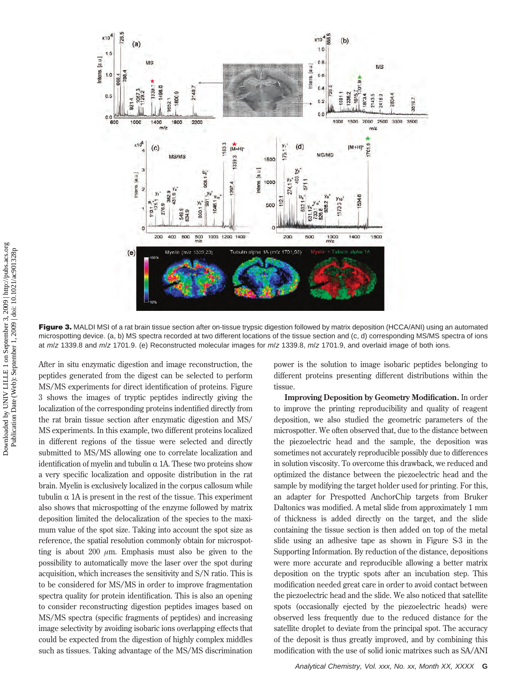

**Figure 3.** MALDI MSI of a rat brain tissue section after on-tissue trypsic digestion followed by matrix deposition (HCCA/ANI) using an automated microspotting device. (a, b) MS spectra recorded at two different locations of the tissue section and (c, d) corresponding MS/MS spectra of ions at *m*/*z* 1339.8 and *m*/*z* 1701.9. (e) Reconstructed molecular images for *m*/*z* 1339.8, *m*/*z* 1701.9, and overlaid image of both ions.

After in situ enzymatic digestion and image reconstruction, the peptides generated from the digest can be selected to perform MS/MS experiments for direct identification of proteins. Figure 3 shows the images of tryptic peptides indirectly giving the localization of the corresponding proteins indentified directly from the rat brain tissue section after enzymatic digestion and MS/ MS experiments. In this example, two different proteins localized in different regions of the tissue were selected and directly submitted to MS/MS allowing one to correlate localization and identification of myelin and tubulin  $\alpha$  1A. These two proteins show a very specific localization and opposite distribution in the rat brain. Myelin is exclusively localized in the corpus callosum while tubulin  $\alpha$  1A is present in the rest of the tissue. This experiment also shows that microspotting of the enzyme followed by matrix deposition limited the delocalization of the species to the maximum value of the spot size. Taking into account the spot size as reference, the spatial resolution commonly obtain for microspotting is about 200 *µ*m. Emphasis must also be given to the possibility to automatically move the laser over the spot during acquisition, which increases the sensitivity and S/N ratio. This is to be considered for MS/MS in order to improve fragmentation spectra quality for protein identification. This is also an opening to consider reconstructing digestion peptides images based on MS/MS spectra (specific fragments of peptides) and increasing image selectivity by avoiding isobaric ions overlapping effects that could be expected from the digestion of highly complex middles such as tissues. Taking advantage of the MS/MS discrimination

power is the solution to image isobaric peptides belonging to different proteins presenting different distributions within the tissue.

**Improving Deposition by Geometry Modification.** In order to improve the printing reproducibility and quality of reagent deposition, we also studied the geometric parameters of the microspotter. We often observed that, due to the distance between the piezoelectric head and the sample, the deposition was sometimes not accurately reproducible possibly due to differences in solution viscosity. To overcome this drawback, we reduced and optimized the distance between the piezoelectric head and the sample by modifying the target holder used for printing. For this, an adapter for Prespotted AnchorChip targets from Bruker Daltonics was modified. A metal slide from approximately 1 mm of thickness is added directly on the target, and the slide containing the tissue section is then added on top of the metal slide using an adhesive tape as shown in Figure S-3 in the Supporting Information. By reduction of the distance, depositions were more accurate and reproducible allowing a better matrix deposition on the tryptic spots after an incubation step. This modification needed great care in order to avoid contact between the piezoelectric head and the slide. We also noticed that satellite spots (occasionally ejected by the piezoelectric heads) were observed less frequently due to the reduced distance for the satellite droplet to deviate from the principal spot. The accuracy of the deposit is thus greatly improved, and by combining this modification with the use of solid ionic matrixes such as SA/ANI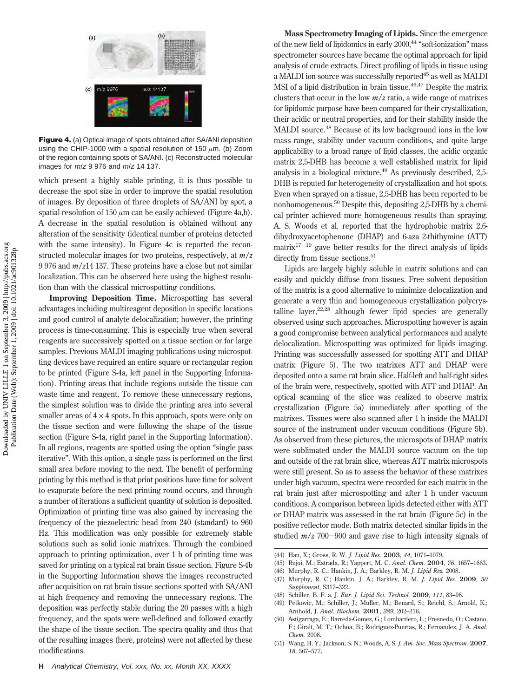

**Figure 4.** (a) Optical image of spots obtained after SA/ANI deposition using the CHIP-1000 with a spatial resolution of 150 *µ*m. (b) Zoom of the region containing spots of SA/ANI. (c) Reconstructed molecular images for *m*/*z* 9 976 and *m*/*z* 14 137.

which present a highly stable printing, it is thus possible to decrease the spot size in order to improve the spatial resolution of images. By deposition of three droplets of SA/ANI by spot, a spatial resolution of 150  $\mu$ m can be easily achieved (Figure 4a,b). A decrease in the spatial resolution is obtained without any alteration of the sensitivity (identical number of proteins detected with the same intensity). In Figure 4c is reported the reconstructed molecular images for two proteins, respectively, at *m*/*z* 9 976 and *m*/*z*14 137. These proteins have a close but not similar localization. This can be observed here using the highest resolution than with the classical microspotting conditions.

**Improving Deposition Time.** Microspotting has several advantages including multireagent deposition in specific locations and good control of analyte delocalization; however, the printing process is time-consuming. This is especially true when several reagents are successively spotted on a tissue section or for large samples. Previous MALDI imaging publications using microspotting devices have required an entire square or rectangular region to be printed (Figure S-4a, left panel in the Supporting Information). Printing areas that include regions outside the tissue can waste time and reagent. To remove these unnecessary regions, the simplest solution was to divide the printing area into several smaller areas of  $4 \times 4$  spots. In this approach, spots were only on the tissue section and were following the shape of the tissue section (Figure S-4a, right panel in the Supporting Information). In all regions, reagents are spotted using the option "single pass iterative". With this option, a single pass is performed on the first small area before moving to the next. The benefit of performing printing by this method is that print positions have time for solvent to evaporate before the next printing round occurs, and through a number of iterations a sufficient quantity of solution is deposited. Optimization of printing time was also gained by increasing the frequency of the piezoelectric head from 240 (standard) to 960 Hz. This modification was only possible for extremely stable solutions such as solid ionic matrixes. Through the combined approach to printing optimization, over 1 h of printing time was saved for printing on a typical rat brain tissue section. Figure S-4b in the Supporting Information shows the images reconstructed after acquisition on rat brain tissue sections spotted with SA/ANI at high frequency and removing the unnecessary regions. The deposition was perfectly stable during the 20 passes with a high frequency, and the spots were well-defined and followed exactly the shape of the tissue section. The spectra quality and thus that of the resulting images (here, proteins) were not affected by these modifications.

**Mass Spectrometry Imaging of Lipids.** Since the emergence of the new field of lipidomics in early 2000,<sup>44</sup> "soft-ionization" mass spectrometer sources have became the optimal approach for lipid analysis of crude extracts. Direct profiling of lipids in tissue using a MALDI ion source was successfully reported<sup>45</sup> as well as MALDI MSI of a lipid distribution in brain tissue.<sup>46,47</sup> Despite the matrix clusters that occur in the low *m*/*z* ratio, a wide range of matrixes for lipidomic purpose have been compared for their crystallization, their acidic or neutral properties, and for their stability inside the MALDI source.48 Because of its low background ions in the low mass range, stability under vacuum conditions, and quite large applicability to a broad range of lipid classes, the acidic organic matrix 2,5-DHB has become a well established matrix for lipid analysis in a biological mixture.<sup>49</sup> As previously described, 2,5-DHB is reputed for heterogeneity of crystallization and hot spots. Even when sprayed on a tissue, 2,5-DHB has been reported to be nonhomogeneous.50 Despite this, depositing 2,5-DHB by a chemical printer achieved more homogeneous results than spraying. A. S. Woods et al. reported that the hydrophobic matrix 2,6 dihydroxyacetophenone (DHAP) and 6-aza 2-thithymine (ATT) matrix $17-19$  gave better results for the direct analysis of lipids directly from tissue sections.<sup>51</sup>

Lipids are largely highly soluble in matrix solutions and can easily and quickly diffuse from tissues. Free solvent deposition of the matrix is a good alternative to minimize delocalization and generate a very thin and homogeneous crystallization polycrystalline layer, $22,28$  although fewer lipid species are generally observed using such approaches. Microspotting however is again a good compromise between analytical performances and analyte delocalization. Microspotting was optimized for lipids imaging. Printing was successfully assessed for spotting ATT and DHAP matrix (Figure 5). The two matrixes ATT and DHAP were deposited onto a same rat brain slice. Half-left and half-right sides of the brain were, respectively, spotted with ATT and DHAP. An optical scanning of the slice was realized to observe matrix crystallization (Figure 5a) immediately after spotting of the matrixes. Tissues were also scanned after 1 h inside the MALDI source of the instrument under vacuum conditions (Figure 5b). As observed from these pictures, the microspots of DHAP matrix were sublimated under the MALDI source vacuum on the top and outside of the rat brain slice, whereas ATT matrix microspots were still present. So as to assess the behavior of these matrixes under high vacuum, spectra were recorded for each matrix in the rat brain just after microspotting and after 1 h under vacuum conditions. A comparison between lipids detected either with ATT or DHAP matrix was assessed in the rat brain (Figure 5c) in the positive reflector mode. Both matrix detected similar lipids in the studied *<sup>m</sup>*/*<sup>z</sup>* <sup>700</sup>-900 and gave rise to high intensity signals of

- (44) Han, X.; Gross, R. W. *J. Lipid Res.* **2003**, *44*, 1071–1079.
- (45) Rujoi, M.; Estrada, R.; Yappert, M. C. *Anal. Chem.* **2004**, *76*, 1657–1663.
- (46) Murphy, R. C.; Hankin, J. A.; Barkley, R. M. *J. Lipid Res.* 2008.
- (47) Murphy, R. C.; Hankin, J. A.; Barkley, R. M. *J. Lipid Res.* **2009**, *50 Supplement*, S317–322.
- (48) Schiller, B. F. a. J. *Eur. J. Lipid Sci. Technol.* **2009**, *111*, 83–98.
- (49) Petkovic, M.; Schiller, J.; Muller, M.; Benard, S.; Reichl, S.; Arnold, K.; Arnhold, J. *Anal. Biochem.* **2001**, *289*, 202–216.
- (50) Astigarraga, E.; Barreda-Gomez, G.; Lombardero, L.; Fresnedo, O.; Castano, F.; Giralt, M. T.; Ochoa, B.; Rodriguez-Puertas, R.; Fernandez, J. A. *Anal. Chem.* 2008.
- (51) Wang, H. Y.; Jackson, S. N.; Woods, A. S. *J. Am. Soc. Mass Spectrom.* **2007**, *18*, 567–577.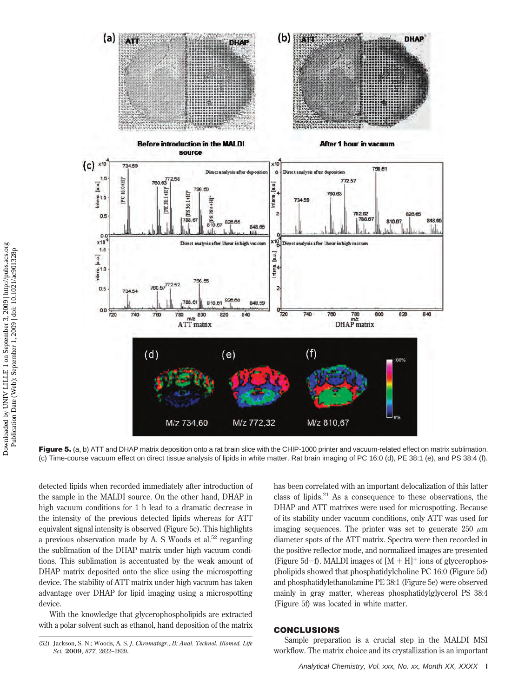

**Figure 5.** (a, b) ATT and DHAP matrix deposition onto a rat brain slice with the CHIP-1000 printer and vacuum-related effect on matrix sublimation. (c) Time-course vacuum effect on direct tissue analysis of lipids in white matter. Rat brain imaging of PC 16:0 (d), PE 38:1 (e), and PS 38:4 (f).

detected lipids when recorded immediately after introduction of the sample in the MALDI source. On the other hand, DHAP in high vacuum conditions for 1 h lead to a dramatic decrease in the intensity of the previous detected lipids whereas for ATT equivalent signal intensity is observed (Figure 5c). This highlights a previous observation made by A. S Woods et al.<sup>52</sup> regarding the sublimation of the DHAP matrix under high vacuum conditions. This sublimation is accentuated by the weak amount of DHAP matrix deposited onto the slice using the microspotting device. The stability of ATT matrix under high vacuum has taken advantage over DHAP for lipid imaging using a microspotting device.

With the knowledge that glycerophospholipids are extracted with a polar solvent such as ethanol, hand deposition of the matrix has been correlated with an important delocalization of this latter class of lipids.<sup>21</sup> As a consequence to these observations, the DHAP and ATT matrixes were used for microspotting. Because of its stability under vacuum conditions, only ATT was used for imaging sequences. The printer was set to generate 250 *µ*m diameter spots of the ATT matrix. Spectra were then recorded in the positive reflector mode, and normalized images are presented (Figure 5d-f). MALDI images of  $[M + H]$ <sup>+</sup> ions of glycerophospholipids showed that phosphatidylcholine PC 16:0 (Figure 5d) and phosphatidylethanolamine PE 38:1 (Figure 5e) were observed mainly in gray matter, whereas phosphatidylglycerol PS 38:4 (Figure 5f) was located in white matter.

## **CONCLUSIONS**

Sample preparation is a crucial step in the MALDI MSI workflow. The matrix choice and its crystallization is an important

<sup>(52)</sup> Jackson, S. N.; Woods, A. S. *J. Chromatogr., B: Anal. Technol. Biomed. Life Sci.* **2009**, *877*, 2822–2829.